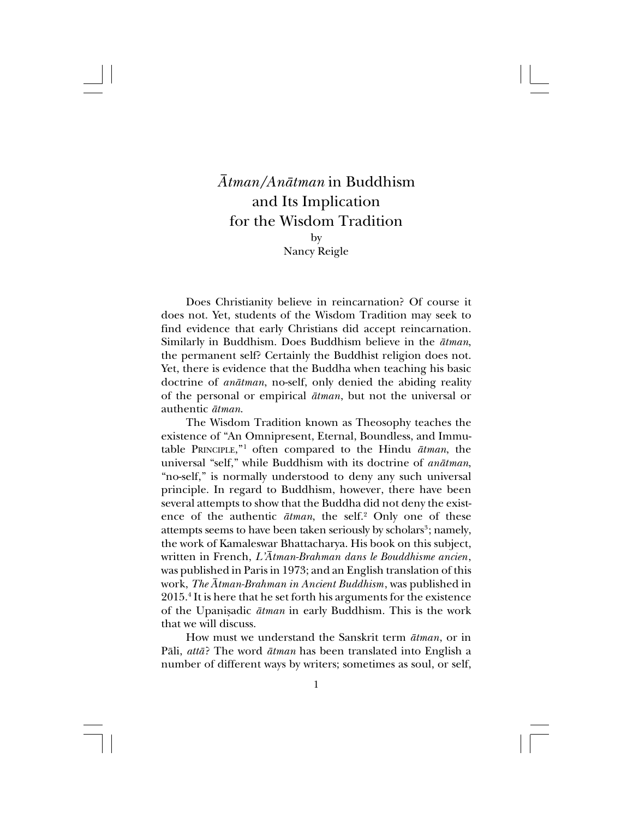## *Åtman/Anåtman* in Buddhism and Its Implication for the Wisdom Tradition by

Nancy Reigle

Does Christianity believe in reincarnation? Of course it does not. Yet, students of the Wisdom Tradition may seek to find evidence that early Christians did accept reincarnation. Similarly in Buddhism. Does Buddhism believe in the *åtman*, the permanent self? Certainly the Buddhist religion does not. Yet, there is evidence that the Buddha when teaching his basic doctrine of *anåtman*, no-self, only denied the abiding reality of the personal or empirical *åtman*, but not the universal or authentic *åtman*.

The Wisdom Tradition known as Theosophy teaches the existence of "An Omnipresent, Eternal, Boundless, and Immutable PRINCIPLE," <sup>1</sup> often compared to the Hindu *åtman*, the universal "self," while Buddhism with its doctrine of *anåtman*, "no-self," is normally understood to deny any such universal principle. In regard to Buddhism, however, there have been several attempts to show that the Buddha did not deny the existence of the authentic  $\bar{a}$ *tman*, the self.<sup>2</sup> Only one of these attempts seems to have been taken seriously by scholars<sup>3</sup>; namely, the work of Kamaleswar Bhattacharya. His book on this subject, written in French, *L'Åtman-Brahman dans le Bouddhisme ancien*, was published in Paris in 1973; and an English translation of this work, *The Åtman-Brahman in Ancient Buddhism*, was published in 2015.4 It is here that he set forth his arguments for the existence of the Upanisadic  $\bar{a}t$ *man* in early Buddhism. This is the work that we will discuss.

How must we understand the Sanskrit term *åtman*, or in Påli, *attå*? The word *åtman* has been translated into English a number of different ways by writers; sometimes as soul, or self,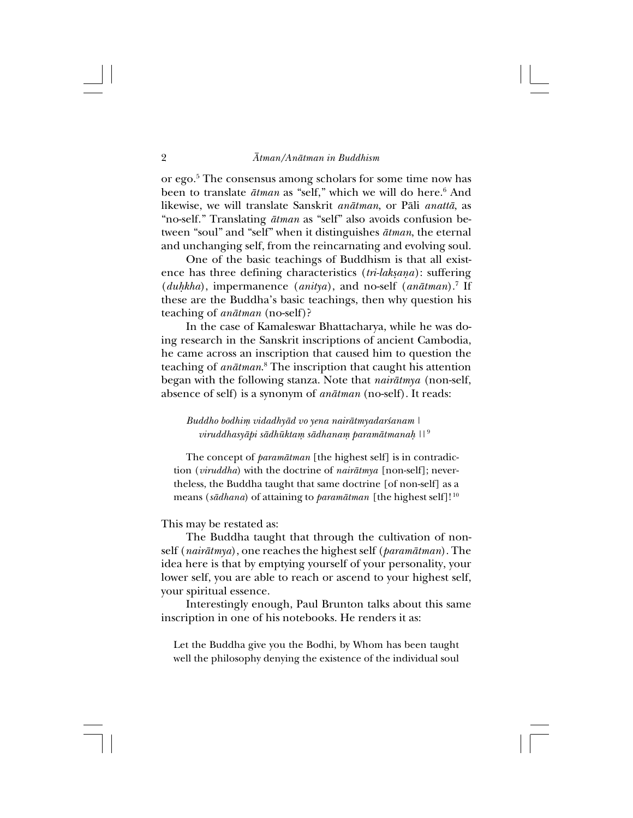or ego.5 The consensus among scholars for some time now has been to translate  $\bar{a}$ *tman* as "self," which we will do here.<sup>6</sup> And likewise, we will translate Sanskrit *anåtman*, or Påli *anattå*, as "no-self." Translating *åtman* as "self" also avoids confusion between "soul" and "self" when it distinguishes *åtman*, the eternal and unchanging self, from the reincarnating and evolving soul.

One of the basic teachings of Buddhism is that all existence has three defining characteristics (*tri-lakßaña*): suffering (*duhkha*), impermanence (*anitya*), and no-self (*anātman*).<sup>7</sup> If these are the Buddha's basic teachings, then why question his teaching of *anåtman* (no-self)?

In the case of Kamaleswar Bhattacharya, while he was doing research in the Sanskrit inscriptions of ancient Cambodia, he came across an inscription that caused him to question the teaching of *anåtman*. 8 The inscription that caught his attention began with the following stanza. Note that *nairåtmya* (non-self, absence of self) is a synonym of *anåtman* (no-self). It reads:

*Buddho bodhiµ vidadhyåd vo yena nairåtmyadar≈anam | viruddhasyåpi sådhüktaµ sådhanaµ paramåtmana˙ ||* <sup>9</sup>

The concept of *paramåtman* [the highest self] is in contradiction (*viruddha*) with the doctrine of *nairåtmya* [non-self]; nevertheless, the Buddha taught that same doctrine [of non-self] as a means (*sådhana*) of attaining to *paramåtman* [the highest self]! <sup>10</sup>

This may be restated as:

The Buddha taught that through the cultivation of nonself (*nairåtmya*), one reaches the highest self (*paramåtman*). The idea here is that by emptying yourself of your personality, your lower self, you are able to reach or ascend to your highest self, your spiritual essence.

Interestingly enough, Paul Brunton talks about this same inscription in one of his notebooks. He renders it as:

Let the Buddha give you the Bodhi, by Whom has been taught well the philosophy denying the existence of the individual soul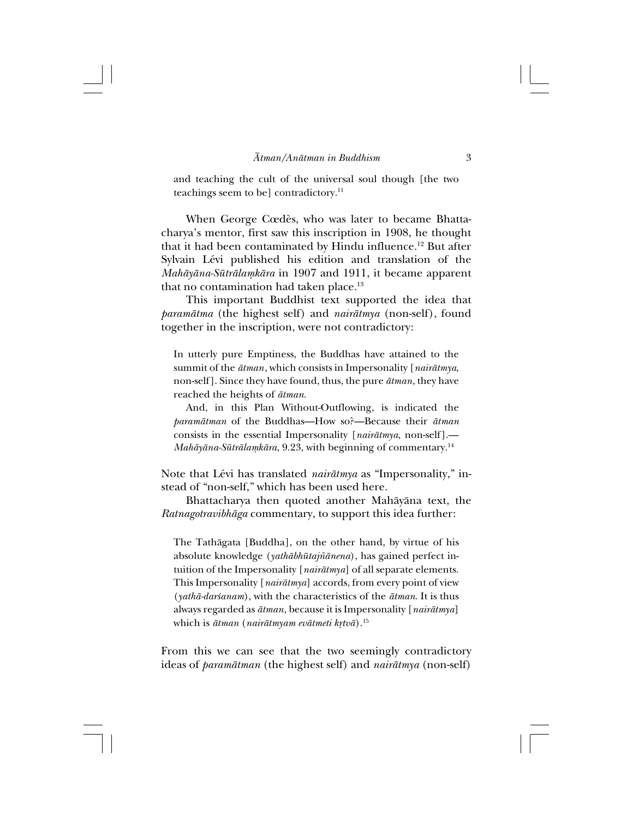and teaching the cult of the universal soul though [the two teachings seem to be] contradictory.<sup>11</sup>

When George Cœdès, who was later to became Bhattacharya's mentor, first saw this inscription in 1908, he thought that it had been contaminated by Hindu influence.<sup>12</sup> But after Sylvain Lévi published his edition and translation of the *Mahåyåna-Sütrålaµkåra* in 1907 and 1911, it became apparent that no contamination had taken place.<sup>13</sup>

This important Buddhist text supported the idea that *paramåtma* (the highest self) and *nairåtmya* (non-self), found together in the inscription, were not contradictory:

In utterly pure Emptiness, the Buddhas have attained to the summit of the *åtman*, which consists in Impersonality [*nairåtmya*, non-self]. Since they have found, thus, the pure *åtman*, they have reached the heights of *åtman*.

And, in this Plan Without-Outflowing, is indicated the *paramåtman* of the Buddhas—How so?—Because their *åtman* consists in the essential Impersonality [*nairåtmya*, non-self].— *Mahåyåna-Sütrålaµkåra*, 9.23, with beginning of commentary.14

Note that Lévi has translated *nairåtmya* as "Impersonality," instead of "non-self," which has been used here.

Bhattacharya then quoted another Mahåyåna text, the *Ratnagotravibhåga* commentary, to support this idea further:

The Tathågata [Buddha], on the other hand, by virtue of his absolute knowledge (*yathåbhütaj∆ånena*), has gained perfect intuition of the Impersonality [*nairåtmya*] of all separate elements. This Impersonality [*nairåtmya*] accords, from every point of view (*yathå-dar≈anam*), with the characteristics of the *åtman*. It is thus always regarded as *åtman*, because it is Impersonality [*nairåtmya*] which is  $\bar{a}t$ man (nairātmyam evātmeti krtvā).<sup>15</sup>

From this we can see that the two seemingly contradictory ideas of *paramåtman* (the highest self) and *nairåtmya* (non-self)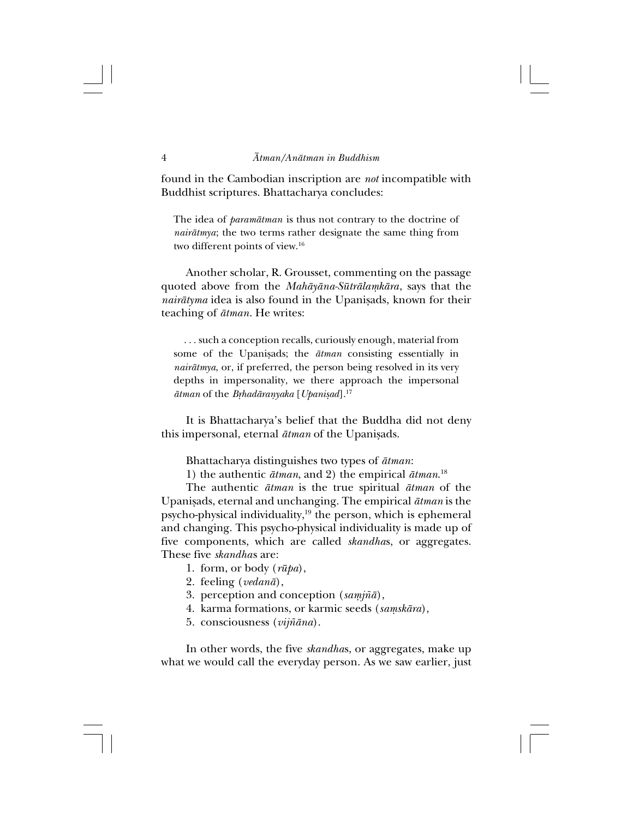found in the Cambodian inscription are *not* incompatible with Buddhist scriptures. Bhattacharya concludes:

The idea of *paramåtman* is thus not contrary to the doctrine of *nairåtmya*; the two terms rather designate the same thing from two different points of view.16

Another scholar, R. Grousset, commenting on the passage quoted above from the *Mahāyāna-Sūtrālamkāra*, says that the *nairātyma* idea is also found in the Upanisads, known for their teaching of *åtman*. He writes:

. . . such a conception recalls, curiously enough, material from some of the Upanisads; the  $\bar{a}$ *tman* consisting essentially in *nairåtmya*, or, if preferred, the person being resolved in its very depths in impersonality, we there approach the impersonal  $\bar{a}$ *tman* of the *Brhadāranyaka* [*Upanisad*].<sup>17</sup>

It is Bhattacharya's belief that the Buddha did not deny this impersonal, eternal  $\bar{a}$ *tman* of the Upanisads.

Bhattacharya distinguishes two types of *åtman*:

1) the authentic *åtman*, and 2) the empirical *åtman*. 18

The authentic *åtman* is the true spiritual *åtman* of the Upanißads, eternal and unchanging. The empirical *åtman* is the psycho-physical individuality,<sup>19</sup> the person, which is ephemeral and changing. This psycho-physical individuality is made up of five components, which are called *skandha*s, or aggregates. These five *skandha*s are:

- 1.form, or body (*rüpa*),
- 2.feeling (*vedanå*),
- 3.perception and conception (*saµj∆å*),
- 4. karma formations, or karmic seeds (samskāra),
- 5.consciousness (*vijƌna*).

In other words, the five *skandha*s, or aggregates, make up what we would call the everyday person. As we saw earlier, just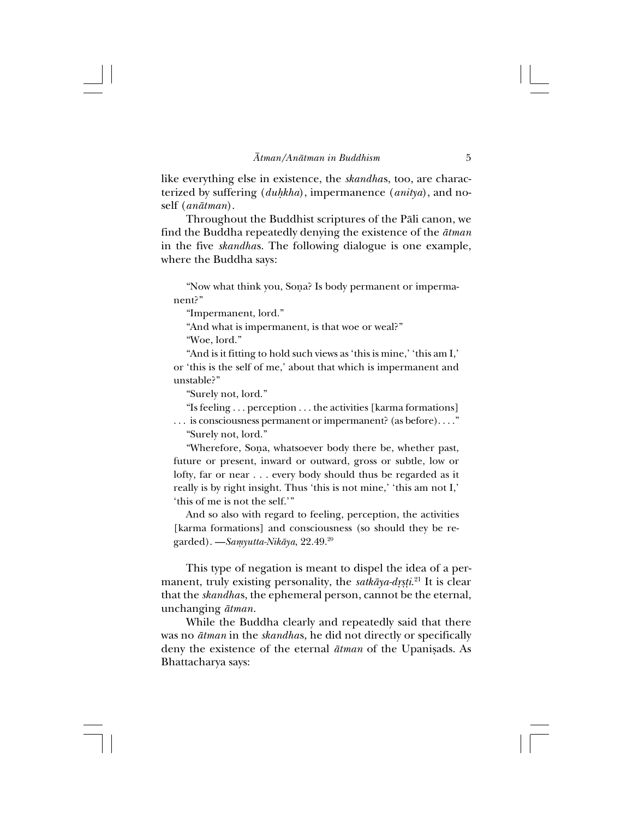like everything else in existence, the *skandha*s, too, are characterized by suffering (*duhkha*), impermanence (*anitya*), and noself (*anåtman*).

Throughout the Buddhist scriptures of the Påli canon, we find the Buddha repeatedly denying the existence of the *åtman* in the five *skandha*s. The following dialogue is one example, where the Buddha says:

"Now what think you, Sona? Is body permanent or impermanent?"

"Impermanent, lord."

"And what is impermanent, is that woe or weal?"

"Woe, lord."

"And is it fitting to hold such views as 'this is mine,' 'this am I,' or 'this is the self of me,' about that which is impermanent and unstable?"

"Surely not, lord."

"Is feeling . . . perception . . . the activities [karma formations] . . . is consciousness permanent or impermanent? (as before). . . ." "Surely not, lord."

"Wherefore, Sona, whatsoever body there be, whether past, future or present, inward or outward, gross or subtle, low or lofty, far or near . . . every body should thus be regarded as it really is by right insight. Thus 'this is not mine,' 'this am not I,' 'this of me is not the self.'"

And so also with regard to feeling, perception, the activities [karma formations] and consciousness (so should they be regarded).—*Saµyutta-Nikåya*, 22.49.20

This type of negation is meant to dispel the idea of a permanent, truly existing personality, the *satkāya-dṛṣṭi.*<sup>21</sup> It is clear that the *skandha*s, the ephemeral person, cannot be the eternal, unchanging *åtman*.

While the Buddha clearly and repeatedly said that there was no *åtman* in the *skandha*s, he did not directly or specifically deny the existence of the eternal  $\bar{a}$ *tman* of the Upanisads. As Bhattacharya says: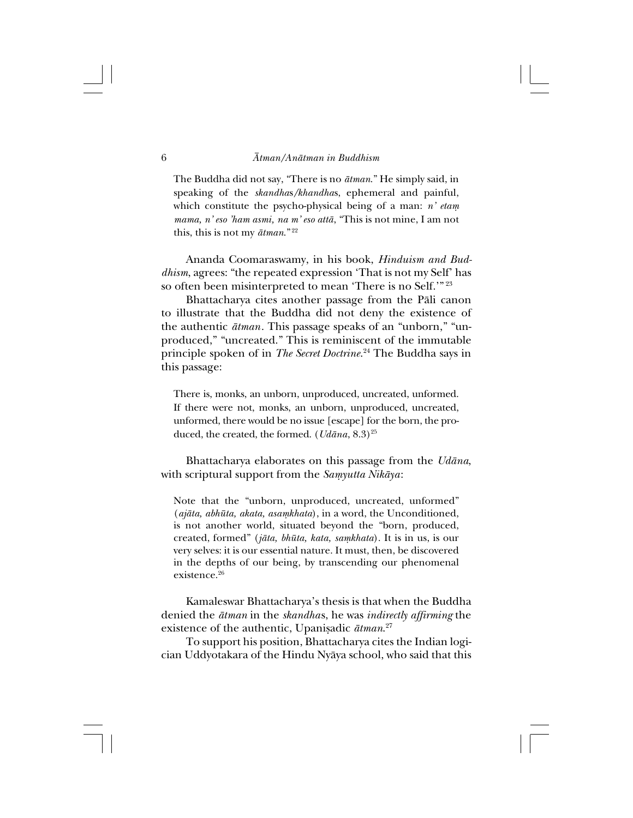The Buddha did not say, "There is no *åtman*." He simply said, in speaking of the *skandha*s*/khandha*s, ephemeral and painful, which constitute the psycho-physical being of a man: *n' etam mama, n' eso 'ham asmi, na m' eso attå*, "This is not mine, I am not this, this is not my *åtman*." <sup>22</sup>

Ananda Coomaraswamy, in his book, *Hinduism and Buddhism*, agrees: "the repeated expression 'That is not my Self' has so often been misinterpreted to mean 'There is no Self.'"<sup>23</sup>

Bhattacharya cites another passage from the Påli canon to illustrate that the Buddha did not deny the existence of the authentic *åtman*. This passage speaks of an "unborn," "unproduced," "uncreated." This is reminiscent of the immutable principle spoken of in *The Secret Doctrine*. 24 The Buddha says in this passage:

There is, monks, an unborn, unproduced, uncreated, unformed. If there were not, monks, an unborn, unproduced, uncreated, unformed, there would be no issue [escape] for the born, the produced, the created, the formed.  $(Udāna, 8.3)^{25}$ 

Bhattacharya elaborates on this passage from the *Udåna*, with scriptural support from the *Samyutta Nikāya*:

Note that the "unborn, unproduced, uncreated, unformed" (*ajåta, abhüta, akata, asaµkhata*), in a word, the Unconditioned, is not another world, situated beyond the "born, produced, created, formed" (*jåta, bhüta, kata, saµkhata*). It is in us, is our very selves: it is our essential nature. It must, then, be discovered in the depths of our being, by transcending our phenomenal existence.26

Kamaleswar Bhattacharya's thesis is that when the Buddha denied the *åtman* in the *skandha*s, he was *indirectly affirming* the existence of the authentic, Upanișadic  $\bar{a}$ tman.<sup>27</sup>

To support his position, Bhattacharya cites the Indian logician Uddyotakara of the Hindu Nyåya school, who said that this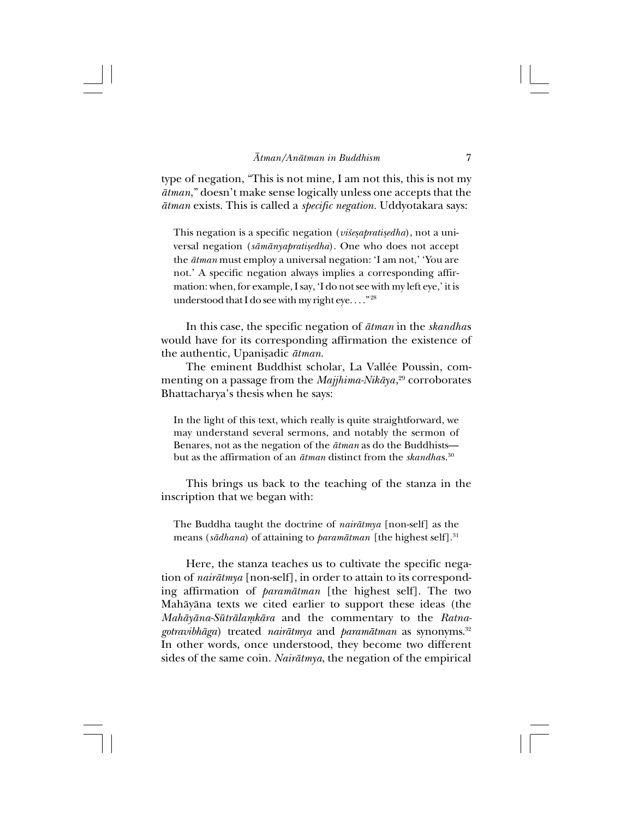type of negation, "This is not mine, I am not this, this is not my *åtman*," doesn't make sense logically unless one accepts that the *åtman* exists. This is called a *specific negation.* Uddyotakara says:

This negation is a specific negation (*vi§esapratisedha*), not a universal negation (sāmānyapratisedha). One who does not accept the *åtman* must employ a universal negation: 'I am not,' 'You are not.' A specific negation always implies a corresponding affirmation: when, for example, I say, 'I do not see with my left eye,' it is understood that I do see with my right eye...."<sup>28</sup>

In this case, the specific negation of *åtman* in the *skandha*s would have for its corresponding affirmation the existence of the authentic, Upanißadic *åtman*.

The eminent Buddhist scholar, La Vallée Poussin, commenting on a passage from the *Majjhima-Nikåya*, 29 corroborates Bhattacharya's thesis when he says:

In the light of this text, which really is quite straightforward, we may understand several sermons, and notably the sermon of Benares, not as the negation of the *åtman* as do the Buddhists but as the affirmation of an *åtman* distinct from the *skandha*s.30

This brings us back to the teaching of the stanza in the inscription that we began with:

The Buddha taught the doctrine of *nairåtmya* [non-self] as the means (*sådhana*) of attaining to *paramåtman* [the highest self].31

Here, the stanza teaches us to cultivate the specific negation of *nairåtmya* [non-self], in order to attain to its corresponding affirmation of *paramåtman* [the highest self]. The two Mahåyåna texts we cited earlier to support these ideas (the *Mahåyåna-Sütrålaµkåra* and the commentary to the *Ratnagotravibhåga*) treated *nairåtmya* and *paramåtman* as synonyms.32 In other words, once understood, they become two different sides of the same coin. *Nairåtmya*, the negation of the empirical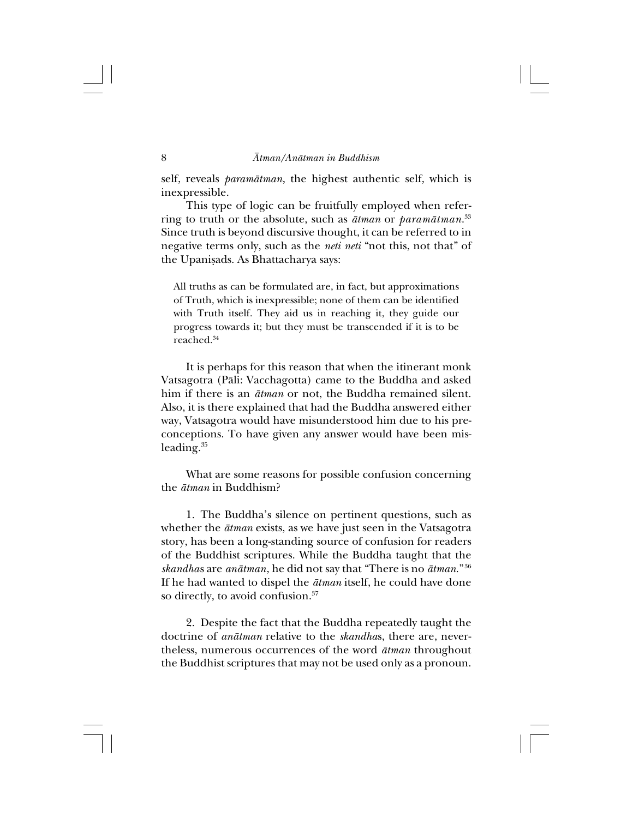self, reveals *paramåtman*, the highest authentic self, which is inexpressible.

This type of logic can be fruitfully employed when referring to truth or the absolute, such as *åtman* or *paramåtman*. 33 Since truth is beyond discursive thought, it can be referred to in negative terms only, such as the *neti neti* "not this, not that" of the Upanisads. As Bhattacharya says:

All truths as can be formulated are, in fact, but approximations of Truth, which is inexpressible; none of them can be identified with Truth itself. They aid us in reaching it, they guide our progress towards it; but they must be transcended if it is to be reached.34

It is perhaps for this reason that when the itinerant monk Vatsagotra (Påli: Vacchagotta) came to the Buddha and asked him if there is an *åtman* or not, the Buddha remained silent. Also, it is there explained that had the Buddha answered either way, Vatsagotra would have misunderstood him due to his preconceptions. To have given any answer would have been misleading.<sup>35</sup>

What are some reasons for possible confusion concerning the *åtman* in Buddhism?

1.The Buddha's silence on pertinent questions, such as whether the *åtman* exists, as we have just seen in the Vatsagotra story, has been a long-standing source of confusion for readers of the Buddhist scriptures. While the Buddha taught that the *skandha*s are *anåtman*, he did not say that "There is no *åtman*." <sup>36</sup> If he had wanted to dispel the *åtman* itself, he could have done so directly, to avoid confusion.<sup>37</sup>

2.Despite the fact that the Buddha repeatedly taught the doctrine of *anåtman* relative to the *skandha*s, there are, nevertheless, numerous occurrences of the word *åtman* throughout the Buddhist scriptures that may not be used only as a pronoun.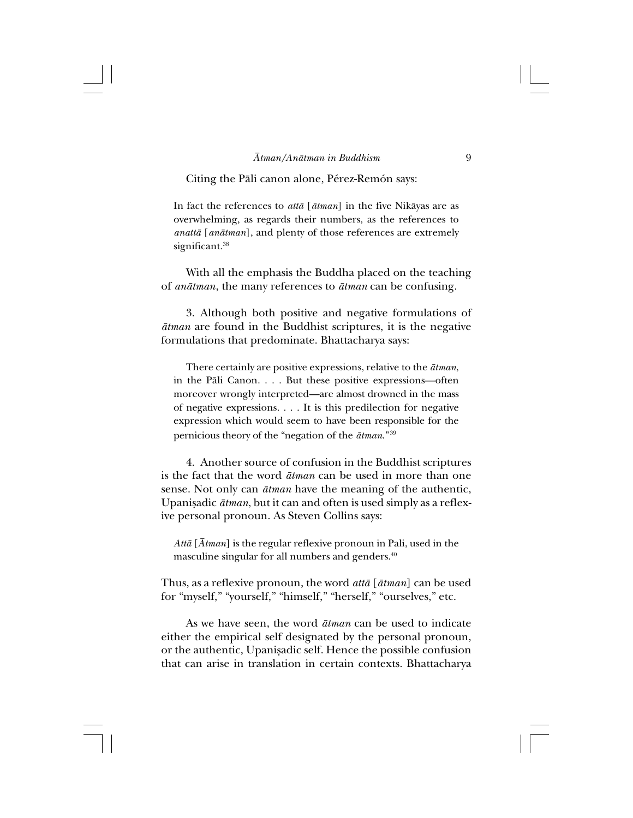Citing the Påli canon alone, Pérez-Remón says:

In fact the references to *attå* [*åtman*] in the five Nikåyas are as overwhelming, as regards their numbers, as the references to *anattå* [*anåtman*], and plenty of those references are extremely significant.<sup>38</sup>

With all the emphasis the Buddha placed on the teaching of *anåtman*, the many references to *åtman* can be confusing.

3.Although both positive and negative formulations of *åtman* are found in the Buddhist scriptures, it is the negative formulations that predominate. Bhattacharya says:

There certainly are positive expressions, relative to the *åtman*, in the Påli Canon. . . . But these positive expressions—often moreover wrongly interpreted—are almost drowned in the mass of negative expressions. . . . It is this predilection for negative expression which would seem to have been responsible for the pernicious theory of the "negation of the *åtman*." <sup>39</sup>

4.Another source of confusion in the Buddhist scriptures is the fact that the word *åtman* can be used in more than one sense. Not only can *åtman* have the meaning of the authentic, Upanißadic *åtman*, but it can and often is used simply as a reflexive personal pronoun. As Steven Collins says:

*Attå* [*Åtman*] is the regular reflexive pronoun in Pali, used in the masculine singular for all numbers and genders.<sup>40</sup>

Thus, as a reflexive pronoun, the word *attå* [*åtman*] can be used for "myself," "yourself," "himself," "herself," "ourselves," etc.

As we have seen, the word *åtman* can be used to indicate either the empirical self designated by the personal pronoun, or the authentic, Upanisadic self. Hence the possible confusion that can arise in translation in certain contexts. Bhattacharya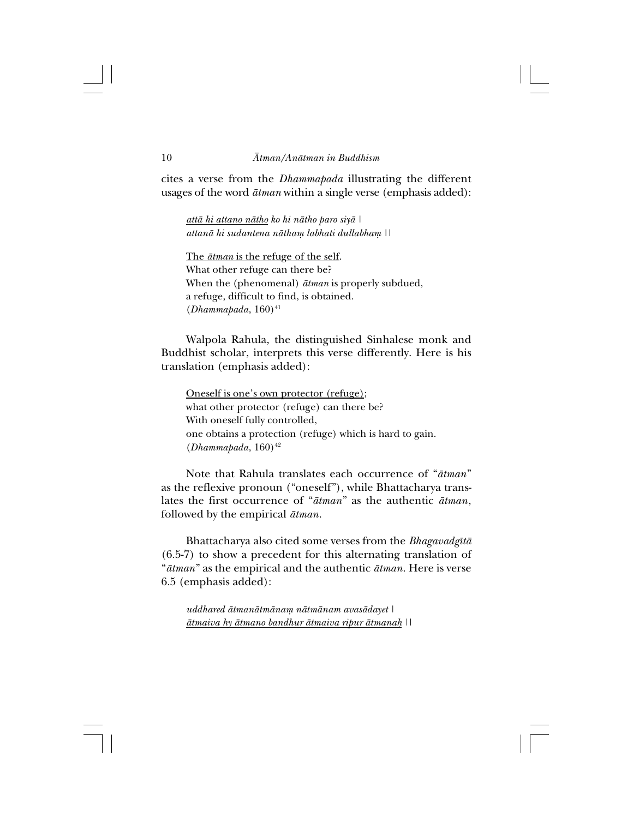cites a verse from the *Dhammapada* illustrating the different usages of the word *åtman* within a single verse (emphasis added):

*attå hi attano nåtho ko hi nåtho paro siyå | attanå hi sudantena nåthaµ labhati dullabhaµ ||*

The *åtman* is the refuge of the self. What other refuge can there be? When the (phenomenal) *åtman* is properly subdued, a refuge, difficult to find, is obtained. (*Dhammapada*, 160)<sup>41</sup>

Walpola Rahula, the distinguished Sinhalese monk and Buddhist scholar, interprets this verse differently. Here is his translation (emphasis added):

Oneself is one's own protector (refuge); what other protector (refuge) can there be? With oneself fully controlled, one obtains a protection (refuge) which is hard to gain.  $(Dhammapada, 160)^{42}$ 

Note that Rahula translates each occurrence of "*åtman*" as the reflexive pronoun ("oneself"), while Bhattacharya translates the first occurrence of "*åtman*" as the authentic *åtman*, followed by the empirical *åtman*.

Bhattacharya also cited some verses from the *Bhagavadgîtå* (6.5-7) to show a precedent for this alternating translation of "*åtman*" as the empirical and the authentic *åtman*. Here is verse 6.5 (emphasis added):

*uddhared åtmanåtmånaµ nåtmånam avasådayet | åtmaiva hy åtmano bandhur åtmaiva ripur åtmana˙ ||*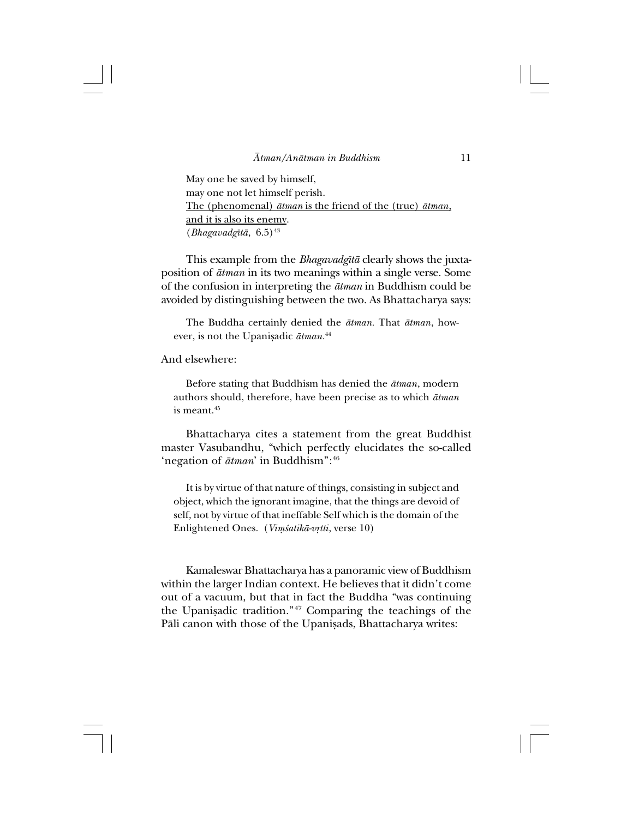May one be saved by himself, may one not let himself perish. The (phenomenal) *åtman* is the friend of the (true) *åtman*, and it is also its enemy.  $(Bhagavadg\bar{t}\bar{a}, 6.5)^{43}$ 

This example from the *Bhagavadgîtå* clearly shows the juxtaposition of *åtman* in its two meanings within a single verse. Some of the confusion in interpreting the *åtman* in Buddhism could be avoided by distinguishing between the two. As Bhattacharya says:

The Buddha certainly denied the *åtman.* That *åtman*, however, is not the Upanișadic *ātman*.<sup>44</sup>

And elsewhere:

Before stating that Buddhism has denied the *åtman*, modern authors should, therefore, have been precise as to which *åtman* is meant.45

Bhattacharya cites a statement from the great Buddhist master Vasubandhu, "which perfectly elucidates the so-called 'negation of *åtman*' in Buddhism":46

It is by virtue of that nature of things, consisting in subject and object, which the ignorant imagine, that the things are devoid of self, not by virtue of that ineffable Self which is the domain of the Enlightened Ones.(*Viµ≈atikå-v®tti*, verse 10)

Kamaleswar Bhattacharya has a panoramic view of Buddhism within the larger Indian context. He believes that it didn't come out of a vacuum, but that in fact the Buddha "was continuing the Upanisadic tradition."<sup>47</sup> Comparing the teachings of the Pāli canon with those of the Upanişads, Bhattacharya writes: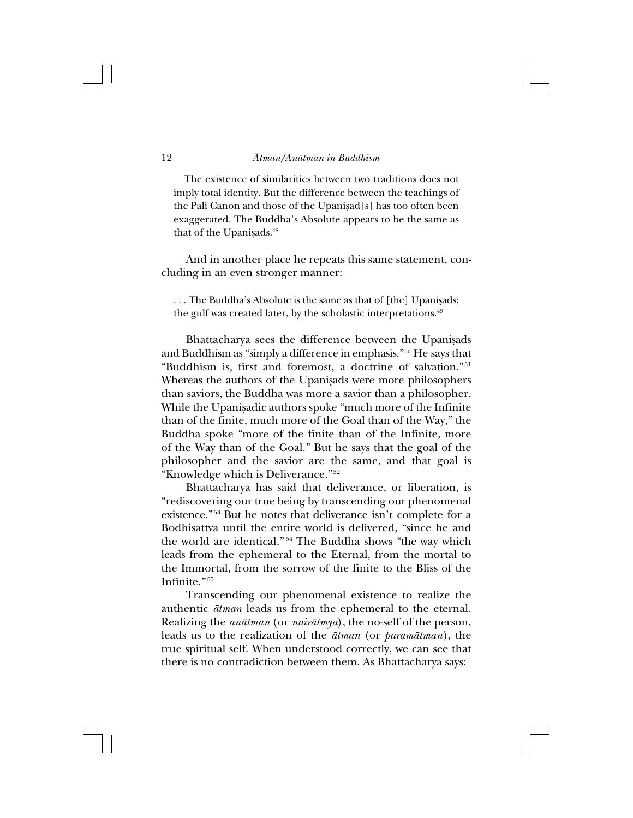The existence of similarities between two traditions does not imply total identity. But the difference between the teachings of the Pali Canon and those of the Upanisad[s] has too often been exaggerated. The Buddha's Absolute appears to be the same as that of the Upanisads.<sup>48</sup>

And in another place he repeats this same statement, concluding in an even stronger manner:

... The Buddha's Absolute is the same as that of [the] Upanisads; the gulf was created later, by the scholastic interpretations.<sup>49</sup>

Bhattacharya sees the difference between the Upanisads and Buddhism as "simply a difference in emphasis."50 He says that "Buddhism is, first and foremost, a doctrine of salvation."<sup>51</sup> Whereas the authors of the Upanisads were more philosophers than saviors, the Buddha was more a savior than a philosopher. While the Upanisadic authors spoke "much more of the Infinite than of the finite, much more of the Goal than of the Way," the Buddha spoke "more of the finite than of the Infinite, more of the Way than of the Goal." But he says that the goal of the philosopher and the savior are the same, and that goal is "Knowledge which is Deliverance." <sup>52</sup>

Bhattacharya has said that deliverance, or liberation, is "rediscovering our true being by transcending our phenomenal existence." <sup>53</sup> But he notes that deliverance isn't complete for a Bodhisattva until the entire world is delivered, "since he and the world are identical." <sup>54</sup> The Buddha shows "the way which leads from the ephemeral to the Eternal, from the mortal to the Immortal, from the sorrow of the finite to the Bliss of the Infinite." <sup>55</sup>

Transcending our phenomenal existence to realize the authentic *åtman* leads us from the ephemeral to the eternal. Realizing the *anåtman* (or *nairåtmya*), the no-self of the person, leads us to the realization of the *åtman* (or *paramåtman*), the true spiritual self. When understood correctly, we can see that there is no contradiction between them. As Bhattacharya says: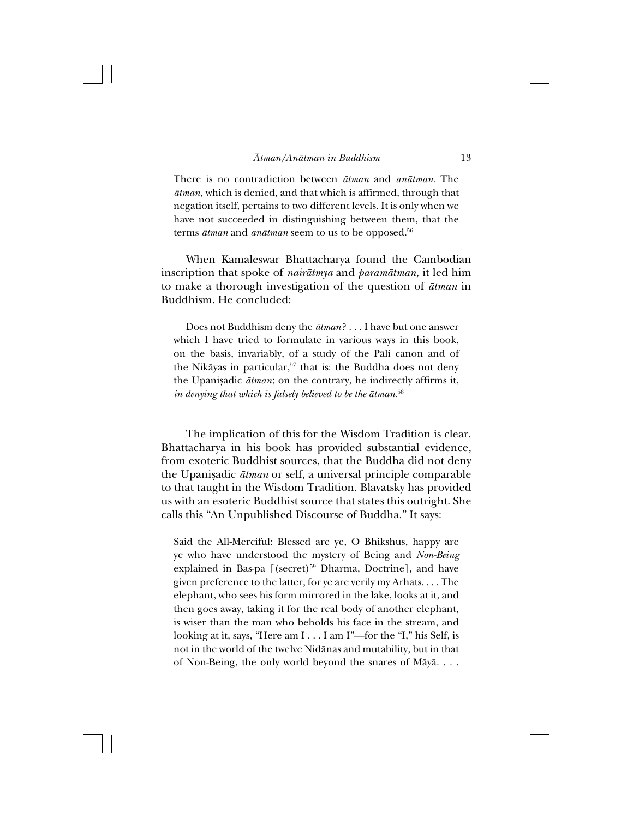There is no contradiction between *åtman* and *anåtman*. The *åtman*, which is denied, and that which is affirmed, through that negation itself, pertains to two different levels. It is only when we have not succeeded in distinguishing between them, that the terms *åtman* and *anåtman* seem to us to be opposed.56

When Kamaleswar Bhattacharya found the Cambodian inscription that spoke of *nairåtmya* and *paramåtman*, it led him to make a thorough investigation of the question of *åtman* in Buddhism. He concluded:

Does not Buddhism deny the *åtman*? ...I have but one answer which I have tried to formulate in various ways in this book, on the basis, invariably, of a study of the Påli canon and of the Nikāyas in particular,<sup>57</sup> that is: the Buddha does not deny the Upanißadic *åtman*; on the contrary, he indirectly affirms it, *in denying that which is falsely believed to be the åtman*. 58

The implication of this for the Wisdom Tradition is clear. Bhattacharya in his book has provided substantial evidence, from exoteric Buddhist sources, that the Buddha did not deny the Upanisadic  $\bar{a}$ *tman* or self, a universal principle comparable to that taught in the Wisdom Tradition. Blavatsky has provided us with an esoteric Buddhist source that states this outright. She calls this "An Unpublished Discourse of Buddha." It says:

Said the All-Merciful: Blessed are ye, O Bhikshus, happy are ye who have understood the mystery of Being and *Non-Being* explained in Bas-pa  $[(secret)^{59}$  Dharma, Doctrine], and have given preference to the latter, for ye are verily my Arhats. . . . The elephant, who sees his form mirrored in the lake, looks at it, and then goes away, taking it for the real body of another elephant, is wiser than the man who beholds his face in the stream, and looking at it, says, "Here am I . . . I am I"—for the "I," his Self, is not in the world of the twelve Nidånas and mutability, but in that of Non-Being, the only world beyond the snares of Måyå. . . .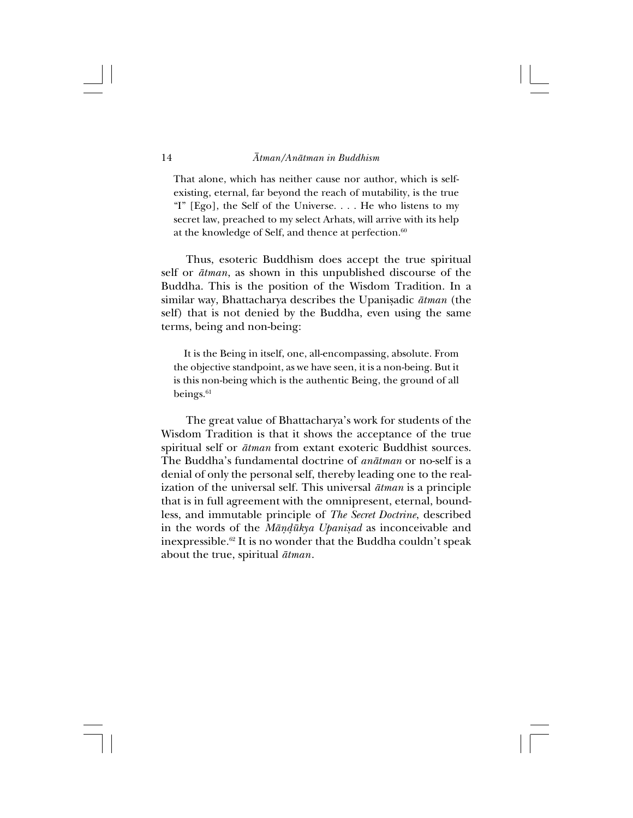That alone, which has neither cause nor author, which is selfexisting, eternal, far beyond the reach of mutability, is the true "I" [Ego], the Self of the Universe. . . . He who listens to my secret law, preached to my select Arhats, will arrive with its help at the knowledge of Self, and thence at perfection.<sup>60</sup>

Thus, esoteric Buddhism does accept the true spiritual self or *åtman*, as shown in this unpublished discourse of the Buddha. This is the position of the Wisdom Tradition. In a similar way, Bhattacharya describes the Upanisadic  $\bar{a}t$ man (the self) that is not denied by the Buddha, even using the same terms, being and non-being:

It is the Being in itself, one, all-encompassing, absolute. From the objective standpoint, as we have seen, it is a non-being. But it is this non-being which is the authentic Being, the ground of all beings. $61$ 

The great value of Bhattacharya's work for students of the Wisdom Tradition is that it shows the acceptance of the true spiritual self or *åtman* from extant exoteric Buddhist sources. The Buddha's fundamental doctrine of *anåtman* or no-self is a denial of only the personal self, thereby leading one to the realization of the universal self. This universal *åtman* is a principle that is in full agreement with the omnipresent, eternal, boundless, and immutable principle of *The Secret Doctrine*, described in the words of the *Måñ∂ükya Upanißad* as inconceivable and inexpressible.62 It is no wonder that the Buddha couldn't speak about the true, spiritual *åtman*.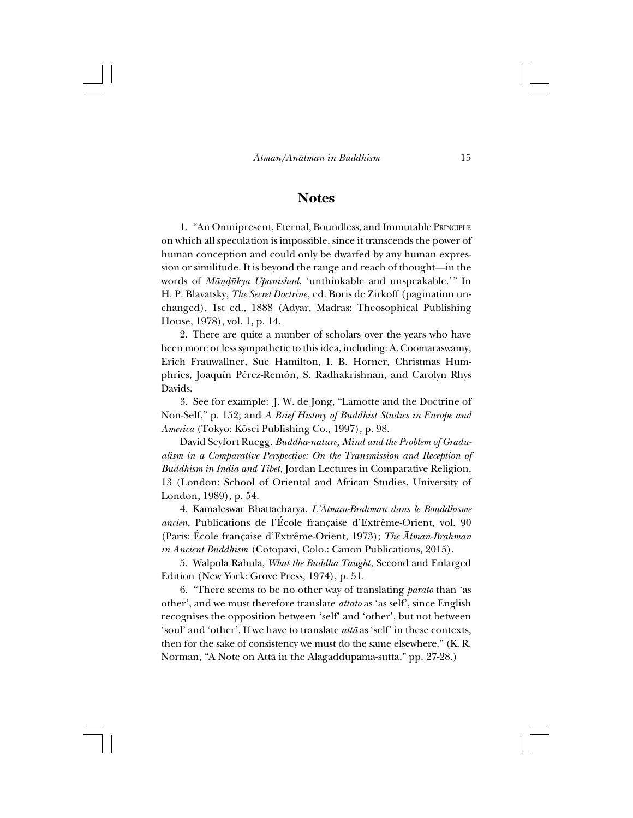## **Notes**

1."An Omnipresent, Eternal, Boundless, and Immutable PRINCIPLE on which all speculation is impossible, since it transcends the power of human conception and could only be dwarfed by any human expression or similitude. It is beyond the range and reach of thought—in the words of *Måñ∂ükya Upanishad*, 'unthinkable and unspeakable.'" In H. P. Blavatsky, *The Secret Doctrine*, ed. Boris de Zirkoff (pagination unchanged), 1st ed., 1888 (Adyar, Madras: Theosophical Publishing House, 1978), vol. 1, p. 14.

2.There are quite a number of scholars over the years who have been more or less sympathetic to this idea, including: A. Coomaraswamy, Erich Frauwallner, Sue Hamilton, I. B. Horner, Christmas Humphries, Joaquín Pérez-Remón, S. Radhakrishnan, and Carolyn Rhys Davids.

3. See for example: J. W. de Jong, "Lamotte and the Doctrine of Non-Self," p. 152; and *A Brief History of Buddhist Studies in Europe and America* (Tokyo: Kôsei Publishing Co., 1997), p. 98.

David Seyfort Ruegg, *Buddha-nature, Mind and the Problem of Gradualism in a Comparative Perspective: On the Transmission and Reception of Buddhism in India and Tibet*, Jordan Lectures in Comparative Religion, 13 (London: School of Oriental and African Studies, University of London, 1989), p. 54.

4.Kamaleswar Bhattacharya, *L'Åtman-Brahman dans le Bouddhisme ancien*, Publications de l'École française d'Extrême-Orient, vol. 90 (Paris: École française d'Extrême-Orient, 1973); *The Åtman-Brahman in Ancient Buddhism* (Cotopaxi, Colo.: Canon Publications, 2015).

5.Walpola Rahula, *What the Buddha Taught*, Second and Enlarged Edition (New York: Grove Press, 1974), p. 51.

6."There seems to be no other way of translating *parato* than 'as other', and we must therefore translate *attato* as 'as self', since English recognises the opposition between 'self' and 'other', but not between 'soul' and 'other'. If we have to translate *attå* as 'self' in these contexts, then for the sake of consistency we must do the same elsewhere." (K. R. Norman, "A Note on Attå in the Alagaddüpama-sutta," pp. 27-28.)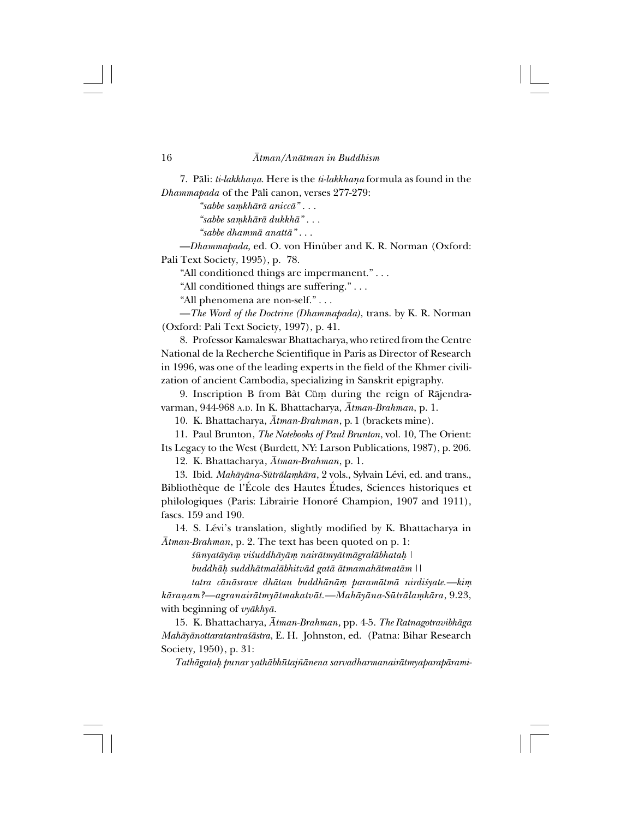7.Påli: *ti-lakkhaña*. Here is the *ti-lakkhaña* formula as found in the *Dhammapada* of the Påli canon, verses 277-279:

*"sabbe saµkhårå aniccå" . . .*

*"sabbe saµkhårå dukkhå" . . .*

*"sabbe dhammå anattå"* . . .

—*Dhammapada*, ed. O. von Hinüber and K. R. Norman (Oxford: Pali Text Society, 1995), p. 78.

"All conditioned things are impermanent." . . .

"All conditioned things are suffering." . . .

"All phenomena are non-self." . . .

—*The Word of the Doctrine (Dhammapada)*, trans. by K. R. Norman (Oxford: Pali Text Society, 1997), p. 41.

8. Professor Kamaleswar Bhattacharya, who retired from the Centre National de la Recherche Scientifique in Paris as Director of Research in 1996, was one of the leading experts in the field of the Khmer civilization of ancient Cambodia, specializing in Sanskrit epigraphy.

9. Inscription B from Bàt Cŭm during the reign of Rājendravarman, 944-968 A.D. In K. Bhattacharya, *Åtman-Brahman*, p. 1.

10.K. Bhattacharya, *Åtman-Brahman*, p. 1 (brackets mine).

11.Paul Brunton, *The Notebooks of Paul Brunton*, vol. 10, The Orient: Its Legacy to the West (Burdett, NY: Larson Publications, 1987), p. 206.

12.K. Bhattacharya, *Åtman-Brahman*, p. 1.

13.Ibid. *Mahåyåna-Sütrålaµkåra*, 2 vols., Sylvain Lévi, ed. and trans., Bibliothèque de l'École des Hautes Études, Sciences historiques et philologiques (Paris: Librairie Honoré Champion, 1907 and 1911), fascs. 159 and 190.

14. S. Lévi's translation, slightly modified by K. Bhattacharya in *Åtman-Brahman*, p. 2. The text has been quoted on p. 1:

 $\bar{x}$ *ünyatāyām viśuddhāyām nairātmyātmāgralābhatah* |

*buddhå˙ suddhåtmalåbhitvåd gatå åtmamahåtmatåm ||*

*tatra cånåsrave dhåtau buddhånåµ paramåtmå nirdi≈yate.—kiµ kårañam?—agranairåtmyåtmakatvåt.—Mahåyåna-Sütrålaµkåra*, 9.23, with beginning of *vyåkhyå*.

15.K. Bhattacharya, *Åtman-Brahman,* pp. 4-5. *The Ratnagotravibhåga Mahåyånottaratantra≈åstra*, E. H. Johnston, ed. (Patna: Bihar Research Society, 1950), p. 31:

*Tathågata˙ punar yathåbhütaj∆ånena sarvadharmanairåtmyaparapårami-*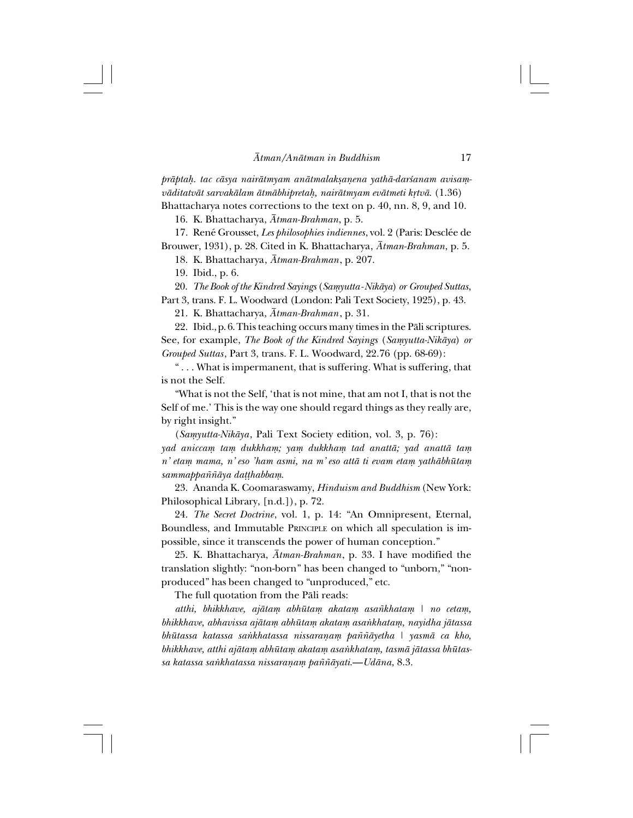*pråpta˙. tac cåsya nairåtmyam anåtmalakßañena yathå-dar≈anam avisaµvåditatvåt sarvakålam åtmåbhipreta˙, nairåtmyam evåtmeti k®två*. (1.36) Bhattacharya notes corrections to the text on p. 40, nn. 8, 9, and 10.

16.K. Bhattacharya, *Åtman-Brahman*, p. 5.

17.René Grousset, *Les philosophies indiennes*, vol. 2 (Paris: Desclée de Brouwer, 1931), p. 28. Cited in K. Bhattacharya, *Åtman-Brahman*, p. 5.

18.K. Bhattacharya, *Åtman-Brahman*, p. 207.

19. Ibid., p. 6.

20. *The Book of the Kindred Sayings* (*Saµyutta-Nikåya*) *or Grouped Suttas*,

Part 3, trans. F. L. Woodward (London: Pali Text Society, 1925), p. 43.

21.K. Bhattacharya, *Åtman-Brahman*, p. 31.

22. Ibid., p. 6. This teaching occurs many times in the Påli scriptures. See, for example, *The Book of the Kindred Sayings* (*Samyutta-Nikāya*) *or Grouped Suttas*, Part 3, trans. F. L. Woodward, 22.76 (pp. 68-69):

" . . . What is impermanent, that is suffering. What is suffering, that is not the Self.

"What is not the Self, 'that is not mine, that am not I, that is not the Self of me.' This is the way one should regard things as they really are, by right insight."

(*Saµyutta-Nikåya*, Pali Text Society edition, vol. 3, p. 76): *yad aniccaµ taµ dukkhaµ; yaµ dukkhaµ tad anattå; yad anattå taµ n' etaµ mama, n' eso 'ham asmi, na m' eso attå ti evam etaµ yathåbhütaµ sammappa∆∆åya da††habbaµ*.

23.Ananda K. Coomaraswamy, *Hinduism and Buddhism* (New York: Philosophical Library, [n.d.]), p. 72.

24. *The Secret Doctrine*, vol. 1, p. 14: "An Omnipresent, Eternal, Boundless, and Immutable PRINCIPLE on which all speculation is impossible, since it transcends the power of human conception."

25.K. Bhattacharya, *Åtman-Brahman*, p. 33. I have modified the translation slightly: "non-born" has been changed to "unborn," "nonproduced" has been changed to "unproduced," etc.

The full quotation from the Påli reads:

*atthi, bhikkhave, ajåtaµ abhütaµ akataµ asa∆khataµ | no cetaµ, bhikkhave, abhavissa ajåtaµ abhütaµ akataµ asa∫khataµ, nayidha jåtassa bhütassa katassa sa∫khatassa nissarañaµ pa∆∆åyetha | yasmå ca kho,* bhikkhave, atthi ajātam abhūtam akatam asankhatam, tasmā jātassa bhūtas*sa katassa sa∫khatassa nissarañaµ pa∆∆åyati*.—*Udåna*, 8.3.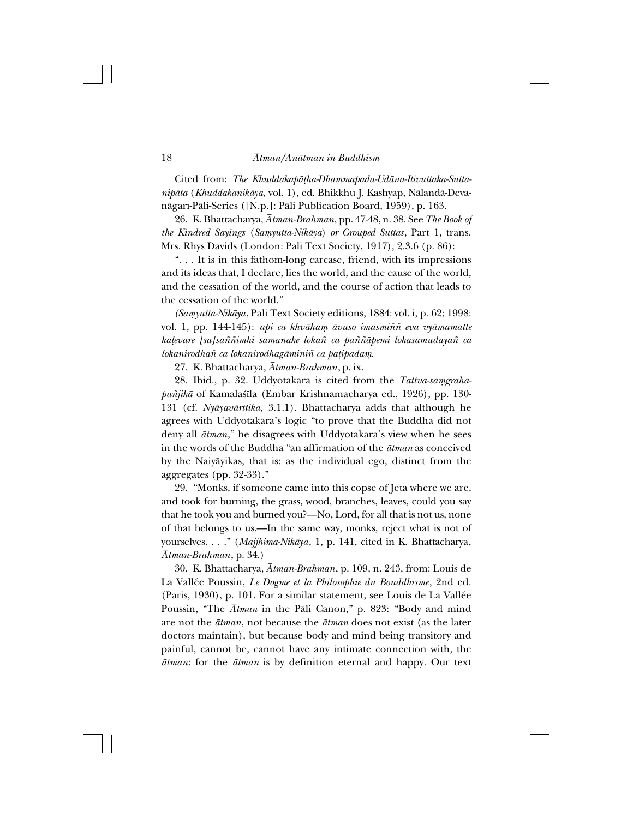Cited from: *The Khuddakapå†ha-Dhammapada-Udåna-Itivuttaka-Suttanipåta* (*Khuddakanikåya*, vol. 1), ed. Bhikkhu J. Kashyap, Nålandå-Devanågarî-Påli-Series ([N.p.]: Påli Publication Board, 1959), p. 163.

26.K. Bhattacharya, *Åtman-Brahman*, pp. 47-48, n. 38. See *The Book of the Kindred Sayings* (*Saµyutta-Nikåya*) *or Grouped Suttas*, Part 1, trans. Mrs. Rhys Davids (London: Pali Text Society, 1917), 2.3.6 (p. 86):

". . . It is in this fathom-long carcase, friend, with its impressions and its ideas that, I declare, lies the world, and the cause of the world, and the cessation of the world, and the course of action that leads to the cessation of the world."

*(Saµyutta-Nikåya*, Pali Text Society editions, 1884: vol. i, p. 62; 1998: vol. 1, pp. 144-145): *api ca khvåhaµ åvuso imasmi∆∆ eva vyåmamatte ka¬evare [sa]sa∆∆imhi samanake loka∆ ca pa∆∆åpemi lokasamudaya∆ ca lokanirodha∆ ca lokanirodhagåmini∆ ca pa†ipadaµ*.

27.K. Bhattacharya, *Åtman-Brahman*, p. ix.

28. Ibid., p. 32. Uddyotakara is cited from the Tattva-samgrahapañjikā of Kamalaśīla (Embar Krishnamacharya ed., 1926), pp. 130-131 (cf. *Nyåyavårttika*, 3.1.1). Bhattacharya adds that although he agrees with Uddyotakara's logic "to prove that the Buddha did not deny all *åtman*," he disagrees with Uddyotakara's view when he sees in the words of the Buddha "an affirmation of the *åtman* as conceived by the Naiyåyikas, that is: as the individual ego, distinct from the aggregates (pp. 32-33)."

29."Monks, if someone came into this copse of Jeta where we are, and took for burning, the grass, wood, branches, leaves, could you say that he took you and burned you?—No, Lord, for all that is not us, none of that belongs to us.—In the same way, monks, reject what is not of yourselves. . . ." (*Majjhima-Nikåya*, 1, p. 141, cited in K. Bhattacharya, *Åtman-Brahman*, p. 34.)

30.K. Bhattacharya, *Åtman-Brahman*, p. 109, n. 243, from: Louis de La Vallée Poussin, *Le Dogme et la Philosophie du Bouddhisme*, 2nd ed. (Paris, 1930), p. 101. For a similar statement, see Louis de La Vallée Poussin, "The *Åtman* in the Påli Canon," p. 823: "Body and mind are not the *åtman*, not because the *åtman* does not exist (as the later doctors maintain), but because body and mind being transitory and painful, cannot be, cannot have any intimate connection with, the *åtman*: for the *åtman* is by definition eternal and happy. Our text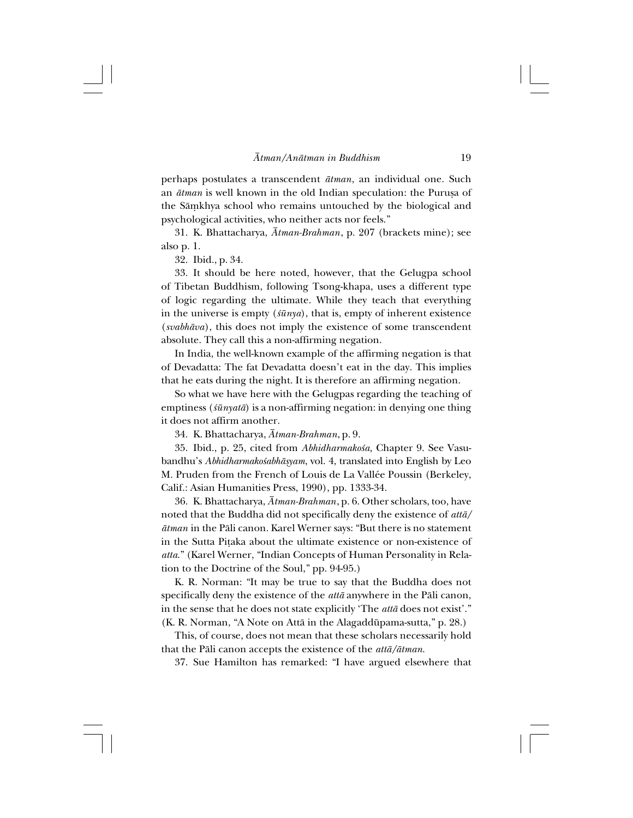perhaps postulates a transcendent *åtman*, an individual one. Such an  $\bar{a}t$ *man* is well known in the old Indian speculation: the Purusa of the Sāmkhya school who remains untouched by the biological and psychological activities, who neither acts nor feels."

31.K. Bhattacharya, *Åtman-Brahman*, p. 207 (brackets mine); see also p. 1.

32. Ibid., p. 34.

33.It should be here noted, however, that the Gelugpa school of Tibetan Buddhism, following Tsong-khapa, uses a different type of logic regarding the ultimate. While they teach that everything in the universe is empty  $(\sin ya)$ , that is, empty of inherent existence (*svabhåva*), this does not imply the existence of some transcendent absolute. They call this a non-affirming negation.

In India, the well-known example of the affirming negation is that of Devadatta: The fat Devadatta doesn't eat in the day. This implies that he eats during the night. It is therefore an affirming negation.

So what we have here with the Gelugpas regarding the teaching of emptiness (*≈ünyatå*) is a non-affirming negation: in denying one thing it does not affirm another.

34.K. Bhattacharya, *Åtman-Brahman*, p. 9.

35. Ibid., p. 25, cited from *Abhidharmakośa*, Chapter 9. See Vasubandhu's *Abhidharmako≈abhåßyam*, vol. 4, translated into English by Leo M. Pruden from the French of Louis de La Vallée Poussin (Berkeley, Calif.: Asian Humanities Press, 1990), pp. 1333-34.

36.K. Bhattacharya, *Åtman-Brahman*, p. 6. Other scholars, too, have noted that the Buddha did not specifically deny the existence of *attå/ åtman* in the Påli canon. Karel Werner says: "But there is no statement in the Sutta Pitaka about the ultimate existence or non-existence of *atta*." (Karel Werner, "Indian Concepts of Human Personality in Relation to the Doctrine of the Soul," pp. 94-95.)

K. R. Norman: "It may be true to say that the Buddha does not specifically deny the existence of the *attå* anywhere in the Påli canon, in the sense that he does not state explicitly 'The *attå* does not exist'." (K. R. Norman, "A Note on Attå in the Alagaddüpama-sutta," p. 28.)

This, of course, does not mean that these scholars necessarily hold that the Påli canon accepts the existence of the *attå/åtman*.

37.Sue Hamilton has remarked: "I have argued elsewhere that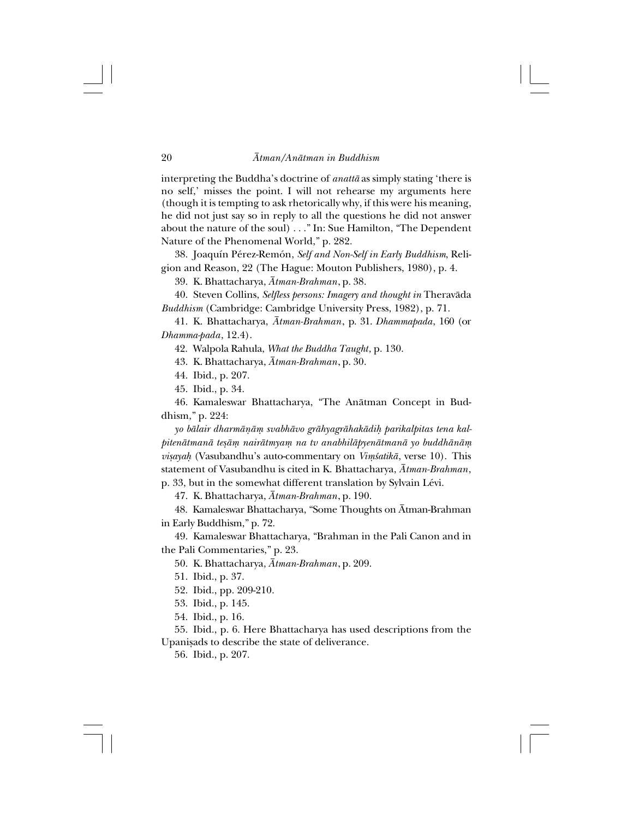interpreting the Buddha's doctrine of *anattå* as simply stating 'there is no self,' misses the point. I will not rehearse my arguments here (though it is tempting to ask rhetorically why, if this were his meaning, he did not just say so in reply to all the questions he did not answer about the nature of the soul) . . ." In: Sue Hamilton, "The Dependent Nature of the Phenomenal World," p. 282.

38.Joaquín Pérez-Remón, *Self and Non-Self in Early Buddhism*, Religion and Reason, 22 (The Hague: Mouton Publishers, 1980), p. 4.

39.K. Bhattacharya, *Åtman-Brahman*, p. 38.

40.Steven Collins, *Selfless persons: Imagery and thought in* Theravåda *Buddhism* (Cambridge: Cambridge University Press, 1982), p. 71.

41.K. Bhattacharya, *Åtman-Brahman*, p. 31. *Dhammapada*, 160 (or *Dhamma-pada*, 12.4).

42.Walpola Rahula, *What the Buddha Taught*, p. 130.

43.K. Bhattacharya, *Åtman-Brahman*, p. 30.

44. Ibid., p. 207.

45. Ibid., p. 34.

46.Kamaleswar Bhattacharya, "The Anåtman Concept in Buddhism," p. 224:

*yo bålair dharmåñåµ svabhåvo gråhyagråhakådi˙ parikalpitas tena kalpitenåtmanå teßåµ nairåtmyaµ na tv anabhilåpyenåtmanå yo buddhånåµ visayah* (Vasubandhu's auto-commentary on *Vimśatikā*, verse 10). This statement of Vasubandhu is cited in K. Bhattacharya, *Åtman-Brahman*, p. 33, but in the somewhat different translation by Sylvain Lévi.

47.K. Bhattacharya, *Åtman-Brahman*, p. 190.

48.Kamaleswar Bhattacharya, "Some Thoughts on Åtman-Brahman in Early Buddhism," p. 72.

49.Kamaleswar Bhattacharya, "Brahman in the Pali Canon and in the Pali Commentaries," p. 23.

50.K. Bhattacharya, *Åtman-Brahman*, p. 209.

51. Ibid., p. 37.

52. Ibid., pp. 209-210.

53. Ibid., p. 145.

54. Ibid., p. 16.

55. Ibid., p. 6. Here Bhattacharya has used descriptions from the Upanisads to describe the state of deliverance.

56. Ibid., p. 207.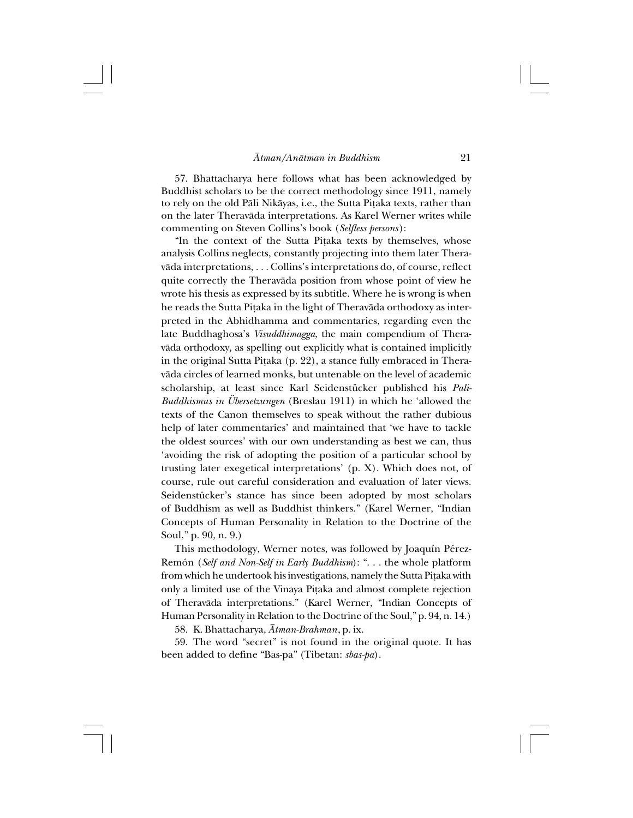57.Bhattacharya here follows what has been acknowledged by Buddhist scholars to be the correct methodology since 1911, namely to rely on the old Påli Nikåyas, i.e., the Sutta Pi†aka texts, rather than on the later Theravåda interpretations. As Karel Werner writes while commenting on Steven Collins's book (*Selfless persons*):

"In the context of the Sutta Pi†aka texts by themselves, whose analysis Collins neglects, constantly projecting into them later Theravåda interpretations, *. . .* Collins's interpretations do, of course, reflect quite correctly the Theravåda position from whose point of view he wrote his thesis as expressed by its subtitle. Where he is wrong is when he reads the Sutta Pițaka in the light of Theravāda orthodoxy as interpreted in the Abhidhamma and commentaries, regarding even the late Buddhaghosa's *Visuddhimagga*, the main compendium of Theravåda orthodoxy, as spelling out explicitly what is contained implicitly in the original Sutta Piṭaka (p. 22), a stance fully embraced in Theravåda circles of learned monks, but untenable on the level of academic scholarship, at least since Karl Seidenstücker published his *Pali-Buddhismus in Übersetzungen* (Breslau 1911) in which he 'allowed the texts of the Canon themselves to speak without the rather dubious help of later commentaries' and maintained that 'we have to tackle the oldest sources' with our own understanding as best we can, thus 'avoiding the risk of adopting the position of a particular school by trusting later exegetical interpretations' (p. X). Which does not, of course, rule out careful consideration and evaluation of later views. Seidenstücker's stance has since been adopted by most scholars of Buddhism as well as Buddhist thinkers." (Karel Werner, "Indian Concepts of Human Personality in Relation to the Doctrine of the Soul," p. 90, n. 9.)

This methodology, Werner notes, was followed by Joaquín Pérez-Remón (*Self and Non-Self in Early Buddhism*): ". . . the whole platform from which he undertook his investigations, namely the Sutta Pi†aka with only a limited use of the Vinaya Pi†aka and almost complete rejection of Theravåda interpretations." (Karel Werner, "Indian Concepts of Human Personality in Relation to the Doctrine of the Soul," p. 94, n. 14.)

58.K. Bhattacharya, *Åtman-Brahman*, p. ix.

59.The word "secret" is not found in the original quote. It has been added to define "Bas-pa" (Tibetan: *sbas-pa*).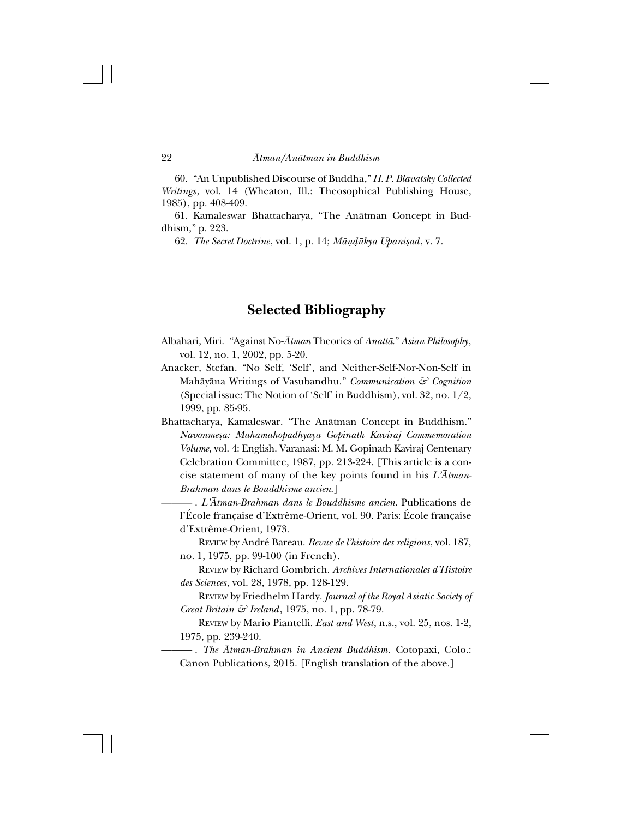60."An Unpublished Discourse of Buddha," *H. P. Blavatsky Collected Writings*, vol. 14 (Wheaton, Ill.: Theosophical Publishing House, 1985), pp. 408-409.

61.Kamaleswar Bhattacharya, "The Anåtman Concept in Buddhism," p. 223.

62. *The Secret Doctrine*, vol. 1, p. 14; *Måñ∂ükya Upanißad*, v. 7.

## **Selected Bibliography**

- Albahari, Miri."Against No-*Åtman* Theories of *Anattå*." *Asian Philosophy*, vol. 12, no. 1, 2002, pp. 5-20.
- Anacker, Stefan. "No Self, 'Self', and Neither-Self-Nor-Non-Self in Mahåyåna Writings of Vasubandhu." *Communication & Cognition* (Special issue: The Notion of 'Self' in Buddhism), vol. 32, no. 1/2, 1999, pp. 85-95.
- Bhattacharya, Kamaleswar."The Anåtman Concept in Buddhism." *Navonmeßa: Mahamahopadhyaya Gopinath Kaviraj Commemoration Volume*, vol. 4: English. Varanasi: M. M. Gopinath Kaviraj Centenary Celebration Committee, 1987, pp. 213-224. [This article is a concise statement of many of the key points found in his *L'Åtman-Brahman dans le Bouddhisme ancien*.]

——— . *L'Åtman-Brahman dans le Bouddhisme ancien*. Publications de l'École française d'Extrême-Orient, vol. 90. Paris: École française d'Extrême-Orient, 1973.

REVIEW by André Bareau. *Revue de l'histoire des religions*, vol. 187, no. 1, 1975, pp. 99-100 (in French).

REVIEW by Richard Gombrich. *Archives Internationales d'Histoire des Sciences*, vol. 28, 1978, pp. 128-129.

REVIEW by Friedhelm Hardy. *Journal of the Royal Asiatic Society of Great Britain & Ireland*, 1975, no. 1, pp. 78-79.

REVIEW by Mario Piantelli. *East and West*, n.s., vol. 25, nos. 1-2, 1975, pp. 239-240.

——— . *The Åtman-Brahman in Ancient Buddhism.* Cotopaxi, Colo.: Canon Publications, 2015. [English translation of the above.]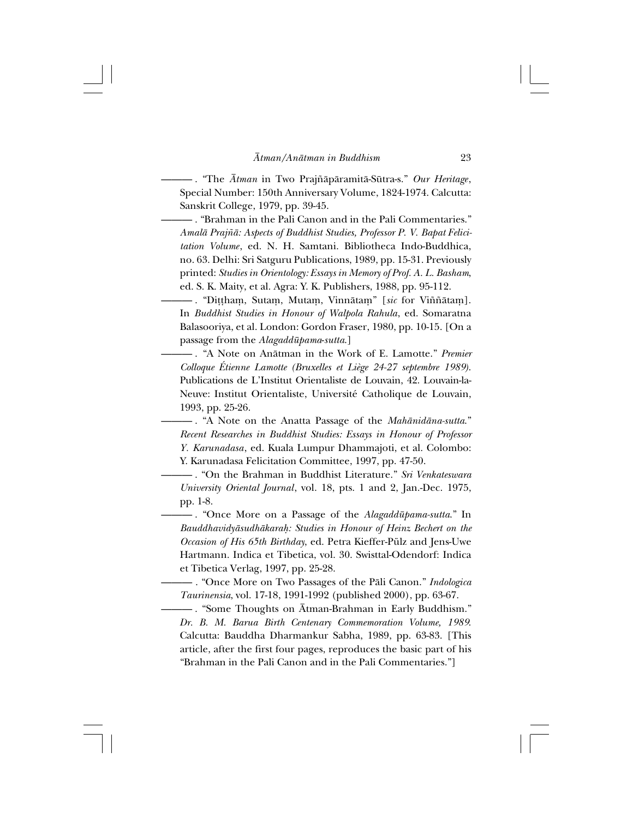——— . "The *Åtman* in Two Praj∆åpåramitå-Sütra-s." *Our Heritage*, Special Number: 150th Anniversary Volume, 1824-1974. Calcutta: Sanskrit College, 1979, pp. 39-45.

——— . "Brahman in the Pali Canon and in the Pali Commentaries." *Amalå Praj∆å: Aspects of Buddhist Studies, Professor P. V. Bapat Felicitation Volume*, ed. N. H. Samtani. Bibliotheca Indo-Buddhica, no. 63. Delhi: Sri Satguru Publications, 1989, pp. 15-31. Previously printed: *Studies in Orientology: Essays in Memory of Prof. A. L. Basham*, ed. S. K. Maity, et al. Agra: Y. K. Publishers, 1988, pp. 95-112.

——— . "Di††haµ, Sutaµ, Mutaµ, Vinnåtaµ" [*sic* for Vi∆∆åtaµ]. In *Buddhist Studies in Honour of Walpola Rahula*, ed. Somaratna Balasooriya, et al. London: Gordon Fraser, 1980, pp. 10-15. [On a passage from the *Alagaddüpama*-*sutta*.]

——— . "A Note on Anåtman in the Work of E. Lamotte." *Premier Colloque Étienne Lamotte (Bruxelles et Liège 24-27 septembre 1989)*. Publications de L'Institut Orientaliste de Louvain, 42. Louvain-la-Neuve: Institut Orientaliste, Université Catholique de Louvain, 1993, pp. 25-26.

——— . "A Note on the Anatta Passage of the *Mahånidåna-sutta*." *Recent Researches in Buddhist Studies: Essays in Honour of Professor Y. Karunadasa*, ed. Kuala Lumpur Dhammajoti, et al. Colombo: Y. Karunadasa Felicitation Committee, 1997, pp. 47-50.

——— . "On the Brahman in Buddhist Literature." *Sri Venkateswara University Oriental Journal*, vol. 18, pts. 1 and 2, Jan.-Dec. 1975, pp. 1-8.

——— . "Once More on a Passage of the *Alagaddüpama-sutta*." In *Bauddhavidyåsudhåkara˙: Studies in Honour of Heinz Bechert on the Occasion of His 65th Birthday*, ed. Petra Kieffer-Pülz and Jens-Uwe Hartmann. Indica et Tibetica, vol. 30. Swisttal-Odendorf: Indica et Tibetica Verlag, 1997, pp. 25-28.

——— . "Once More on Two Passages of the Påli Canon." *Indologica Taurinensia*, vol. 17-18, 1991-1992 (published 2000), pp. 63-67.

——— . "Some Thoughts on Åtman-Brahman in Early Buddhism." *Dr. B. M. Barua Birth Centenary Commemoration Volume, 1989*. Calcutta: Bauddha Dharmankur Sabha, 1989, pp. 63-83. [This article, after the first four pages, reproduces the basic part of his "Brahman in the Pali Canon and in the Pali Commentaries."]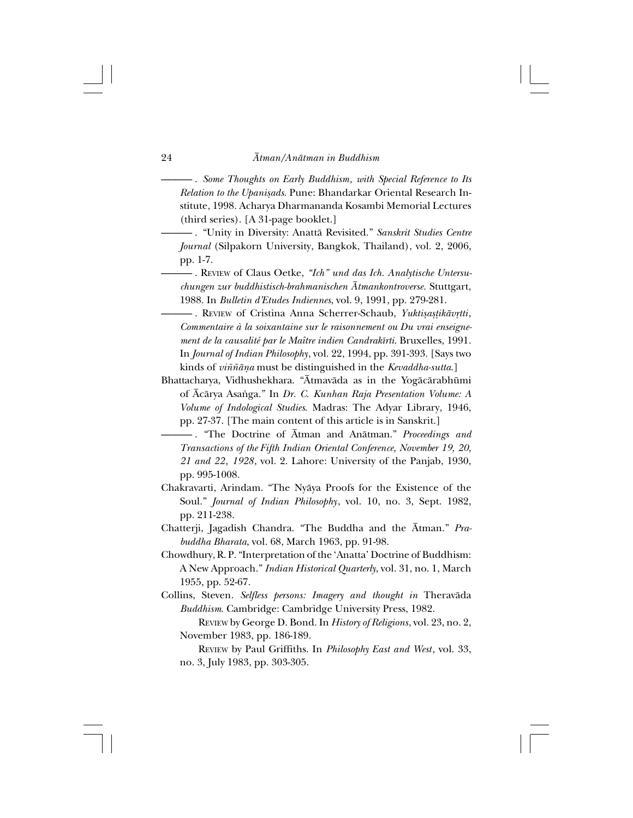——— . *Some Thoughts on Early Buddhism, with Special Reference to Its Relation to the Upanißads*. Pune: Bhandarkar Oriental Research Institute, 1998. Acharya Dharmananda Kosambi Memorial Lectures (third series). [A 31-page booklet.]

- ——— ."Unity in Diversity: Anattå Revisited." *Sanskrit Studies Centre Journal* (Silpakorn University, Bangkok, Thailand), vol. 2, 2006, pp. 1-7.
	- ——— . REVIEW of Claus Oetke, *"Ich" und das Ich. Analytische Untersuchungen zur buddhistisch-brahmanischen Åtmankontroverse*. Stuttgart, 1988. In *Bulletin d'Etudes Indiennes*, vol. 9, 1991, pp. 279-281.

**- . REVIEW of Cristina Anna Scherrer-Schaub, Yuktisastikävrtti,** *Commentaire à la soixantaine sur le raisonnement ou Du vrai enseignement de la causalité par le Maître indien Candrakîrti*. Bruxelles, 1991. In *Journal of Indian Philosophy*, vol. 22, 1994, pp. 391-393. [Says two kinds of *vi∆∆åña* must be distinguished in the *Kevaddha-sutta*.]

- Bhattacharya, Vidhushekhara. "Åtmavåda as in the Yogåcårabhümi of Åcårya Asa∫ga." In *Dr. C. Kunhan Raja Presentation Volume: A Volume of Indological Studies*. Madras: The Adyar Library, 1946, pp. 27-37. [The main content of this article is in Sanskrit.]
- ——— . "The Doctrine of Åtman and Anåtman." *Proceedings and Transactions of the Fifth Indian Oriental Conference, November 19, 20, 21 and 22, 1928*, vol. 2. Lahore: University of the Panjab, 1930, pp. 995-1008.
- Chakravarti, Arindam. "The Nyåya Proofs for the Existence of the Soul." *Journal of Indian Philosophy*, vol. 10, no. 3, Sept. 1982, pp. 211-238.
- Chatterji, Jagadish Chandra. "The Buddha and the Åtman." *Prabuddha Bharata*, vol. 68, March 1963, pp. 91-98.
- Chowdhury, R. P. "Interpretation of the 'Anatta' Doctrine of Buddhism: A New Approach." *Indian Historical Quarterly*, vol. 31, no. 1, March 1955, pp. 52-67.
- Collins, Steven. *Selfless persons: Imagery and thought in* Theravåda *Buddhism*. Cambridge: Cambridge University Press, 1982.

REVIEW by George D. Bond. In *History of Religions*, vol. 23, no. 2, November 1983, pp. 186-189.

REVIEW by Paul Griffiths. In *Philosophy East and West*, vol. 33, no. 3, July 1983, pp. 303-305.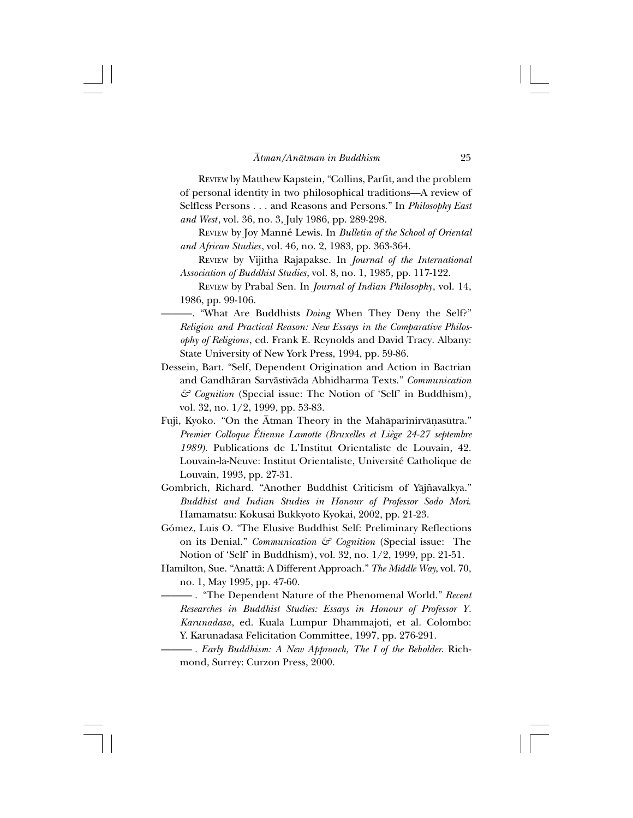REVIEW by Matthew Kapstein, "Collins, Parfit, and the problem of personal identity in two philosophical traditions—A review of Selfless Persons . . . and Reasons and Persons." In *Philosophy East and West*, vol. 36, no. 3, July 1986, pp. 289-298.

REVIEW by Joy Manné Lewis. In *Bulletin of the School of Oriental and African Studies*, vol. 46, no. 2, 1983, pp. 363-364.

REVIEW by Vijitha Rajapakse. In *Journal of the International Association of Buddhist Studies*, vol. 8, no. 1, 1985, pp. 117-122.

REVIEW by Prabal Sen. In *Journal of Indian Philosophy*, vol. 14, 1986, pp. 99-106.

———."What Are Buddhists *Doing* When They Deny the Self?" *Religion and Practical Reason: New Essays in the Comparative Philosophy of Religions*, ed. Frank E. Reynolds and David Tracy. Albany: State University of New York Press, 1994, pp. 59-86.

- Dessein, Bart. "Self, Dependent Origination and Action in Bactrian and Gandhåran Sarvåstivåda Abhidharma Texts." *Communication & Cognition* (Special issue: The Notion of 'Self' in Buddhism), vol. 32, no. 1/2, 1999, pp. 53-83.
- Fuji, Kyoko. "On the Ātman Theory in the Mahāparinirvāṇasūtra." *Premier Colloque Étienne Lamotte (Bruxelles et Liège 24-27 septembre 1989)*. Publications de L'Institut Orientaliste de Louvain, 42. Louvain-la-Neuve: Institut Orientaliste, Université Catholique de Louvain, 1993, pp. 27-31.
- Gombrich, Richard. "Another Buddhist Criticism of Yājñavalkya." *Buddhist and Indian Studies in Honour of Professor Sodo Mori*. Hamamatsu: Kokusai Bukkyoto Kyokai, 2002, pp. 21-23.
- Gómez, Luis O. "The Elusive Buddhist Self: Preliminary Reflections on its Denial." *Communication & Cognition* (Special issue: The Notion of 'Self' in Buddhism), vol. 32, no. 1/2, 1999, pp. 21-51.
- Hamilton, Sue. "Anattå: A Different Approach." *The Middle Way*, vol. 70, no. 1, May 1995, pp. 47-60.

——— ."The Dependent Nature of the Phenomenal World." *Recent Researches in Buddhist Studies: Essays in Honour of Professor Y. Karunadasa*, ed. Kuala Lumpur Dhammajoti, et al. Colombo: Y. Karunadasa Felicitation Committee, 1997, pp. 276-291.

——— . *Early Buddhism: A New Approach, The I of the Beholder*. Richmond, Surrey: Curzon Press, 2000.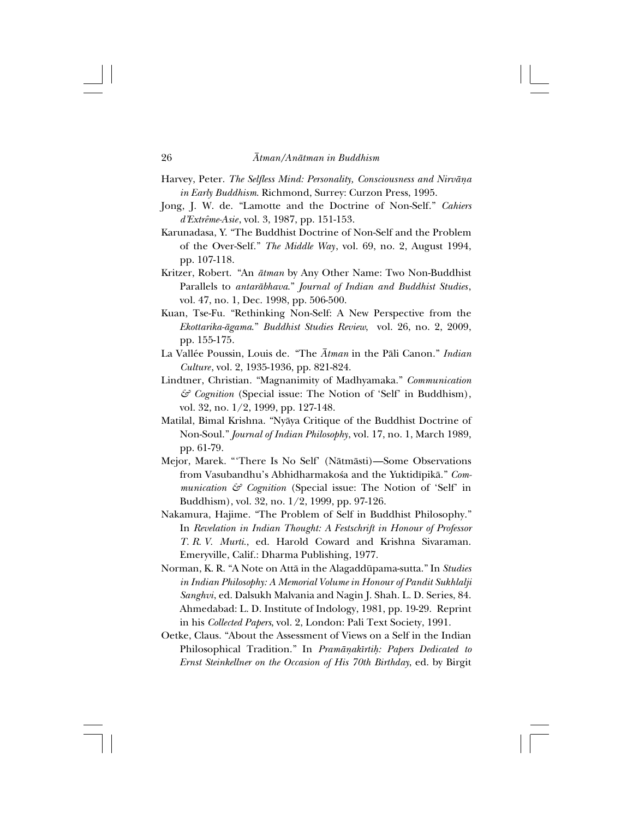- Harvey, Peter. *The Selfless Mind: Personality, Consciousness and Nirvåña in Early Buddhism*. Richmond, Surrey: Curzon Press, 1995.
- Jong, J. W. de. "Lamotte and the Doctrine of Non-Self." *Cahiers d'Extrême-Asie*, vol. 3, 1987, pp. 151-153.
- Karunadasa, Y. "The Buddhist Doctrine of Non-Self and the Problem of the Over-Self." *The Middle Way*, vol. 69, no. 2, August 1994, pp. 107-118.
- Kritzer, Robert."An *åtman* by Any Other Name: Two Non-Buddhist Parallels to *antaråbhava*." *Journal of Indian and Buddhist Studies*, vol. 47, no. 1, Dec. 1998, pp. 506-500.
- Kuan, Tse-Fu. "Rethinking Non-Self: A New Perspective from the *Ekottarika-ågama*." *Buddhist Studies Review*, vol. 26, no. 2, 2009, pp. 155-175.
- La Vallée Poussin, Louis de."The *Åtman* in the Påli Canon." *Indian Culture*, vol. 2, 1935-1936, pp. 821-824.
- Lindtner, Christian. "Magnanimity of Madhyamaka." *Communication & Cognition* (Special issue: The Notion of 'Self' in Buddhism), vol. 32, no. 1/2, 1999, pp. 127-148.
- Matilal, Bimal Krishna. "Nyåya Critique of the Buddhist Doctrine of Non-Soul." *Journal of Indian Philosophy*, vol. 17, no. 1, March 1989, pp. 61-79.
- Mejor, Marek. "'There Is No Self' (Nåtmåsti)—Some Observations from Vasubandhu's Abhidharmakośa and the Yuktidīpikā." Com*munication & Cognition* (Special issue: The Notion of 'Self' in Buddhism), vol. 32, no. 1/2, 1999, pp. 97-126.
- Nakamura, Hajime. "The Problem of Self in Buddhist Philosophy." In *Revelation in Indian Thought: A Festschrift in Honour of Professor T. R. V. Murti*., ed. Harold Coward and Krishna Sivaraman. Emeryville, Calif.: Dharma Publishing, 1977.
- Norman, K. R. "A Note on Attå in the Alagaddüpama-sutta." In *Studies in Indian Philosophy: A Memorial Volume in Honour of Pandit Sukhlalji Sanghvi*, ed. Dalsukh Malvania and Nagin J. Shah. L. D. Series, 84. Ahmedabad: L. D. Institute of Indology, 1981, pp. 19-29. Reprint in his *Collected Papers*, vol. 2, London: Pali Text Society, 1991.
- Oetke, Claus. "About the Assessment of Views on a Self in the Indian Philosophical Tradition." In *Pramāņakīrtiḥ: Papers Dedicated to Ernst Steinkellner on the Occasion of His 70th Birthday*, ed. by Birgit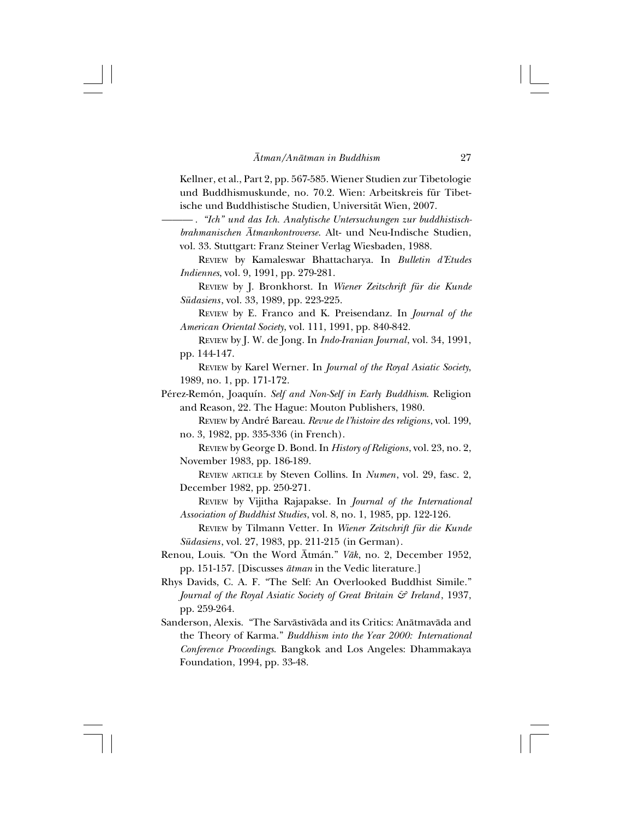Kellner, et al., Part 2, pp. 567-585. Wiener Studien zur Tibetologie und Buddhismuskunde, no. 70.2. Wien: Arbeitskreis für Tibetische und Buddhistische Studien, Universität Wien, 2007.

*——— . "Ich" und das Ich. Analytische Untersuchungen zur buddhistischbrahmanischen Åtmankontroverse*. Alt- und Neu-Indische Studien, vol. 33. Stuttgart: Franz Steiner Verlag Wiesbaden, 1988.

REVIEW by Kamaleswar Bhattacharya. In *Bulletin d'Etudes Indiennes*, vol. 9, 1991, pp. 279-281.

REVIEW by J. Bronkhorst. In *Wiener Zeitschrift für die Kunde Südasiens*, vol. 33, 1989, pp. 223-225.

REVIEW by E. Franco and K. Preisendanz. In *Journal of the American Oriental Society*, vol. 111, 1991, pp. 840-842.

REVIEW by J. W. de Jong. In *Indo-Iranian Journal*, vol. 34, 1991, pp. 144-147.

REVIEW by Karel Werner. In *Journal of the Royal Asiatic Society*, 1989, no. 1, pp. 171-172.

- Pérez-Remón, Joaquín. *Self and Non-Self in Early Buddhism*. Religion and Reason, 22. The Hague: Mouton Publishers, 1980.
	- REVIEW by André Bareau. *Revue de l'histoire des religions*, vol. 199, no. 3, 1982, pp. 335-336 (in French).

REVIEW by George D. Bond. In *History of Religions*, vol. 23, no. 2, November 1983, pp. 186-189.

REVIEW ARTICLE by Steven Collins. In *Numen*, vol. 29, fasc. 2, December 1982, pp. 250-271.

REVIEW by Vijitha Rajapakse. In *Journal of the International Association of Buddhist Studies*, vol. 8, no. 1, 1985, pp. 122-126.

REVIEW by Tilmann Vetter. In *Wiener Zeitschrift für die Kunde Südasiens*, vol. 27, 1983, pp. 211-215 (in German).

- Renou, Louis. "On the Word Åtmán." *Våk*, no. 2, December 1952, pp. 151-157. [Discusses *åtman* in the Vedic literature.]
- Rhys Davids, C. A. F. "The Self: An Overlooked Buddhist Simile." *Journal of the Royal Asiatic Society of Great Britain & Ireland*, 1937, pp. 259-264.
- Sanderson, Alexis."The Sarvåstivåda and its Critics: Anåtmavåda and the Theory of Karma." *Buddhism into the Year 2000: International Conference Proceedings*. Bangkok and Los Angeles: Dhammakaya Foundation, 1994, pp. 33-48.